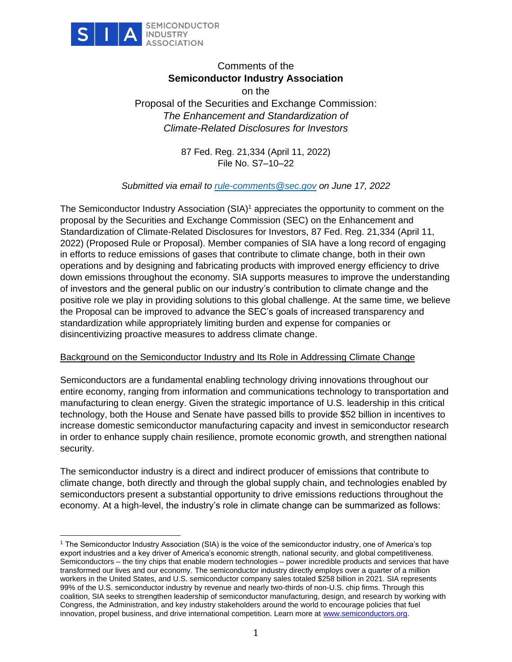

# Comments of the **Semiconductor Industry Association**

on the Proposal of the Securities and Exchange Commission: *The Enhancement and Standardization of Climate-Related Disclosures for Investors* 

> 87 Fed. Reg. 21,334 (April 11, 2022) File No. S7–10–22

*Submitted via email to [rule-comments@sec.gov](mailto:rule-comments@sec.gov) on June 17, 2022*

The Semiconductor Industry Association (SIA)<sup>1</sup> appreciates the opportunity to comment on the proposal by the Securities and Exchange Commission (SEC) on the Enhancement and Standardization of Climate-Related Disclosures for Investors, 87 Fed. Reg. 21,334 (April 11, 2022) (Proposed Rule or Proposal). Member companies of SIA have a long record of engaging in efforts to reduce emissions of gases that contribute to climate change, both in their own operations and by designing and fabricating products with improved energy efficiency to drive down emissions throughout the economy. SIA supports measures to improve the understanding of investors and the general public on our industry's contribution to climate change and the positive role we play in providing solutions to this global challenge. At the same time, we believe the Proposal can be improved to advance the SEC's goals of increased transparency and standardization while appropriately limiting burden and expense for companies or disincentivizing proactive measures to address climate change.

#### Background on the Semiconductor Industry and Its Role in Addressing Climate Change

Semiconductors are a fundamental enabling technology driving innovations throughout our entire economy, ranging from information and communications technology to transportation and manufacturing to clean energy. Given the strategic importance of U.S. leadership in this critical technology, both the House and Senate have passed bills to provide \$52 billion in incentives to increase domestic semiconductor manufacturing capacity and invest in semiconductor research in order to enhance supply chain resilience, promote economic growth, and strengthen national security.

The semiconductor industry is a direct and indirect producer of emissions that contribute to climate change, both directly and through the global supply chain, and technologies enabled by semiconductors present a substantial opportunity to drive emissions reductions throughout the economy. At a high-level, the industry's role in climate change can be summarized as follows:

<sup>1</sup> The Semiconductor Industry Association (SIA) is the voice of the semiconductor industry, one of America's top export industries and a key driver of America's economic strength, national security, and global competitiveness. Semiconductors – the tiny chips that enable modern technologies – power incredible products and services that have transformed our lives and our economy. The semiconductor industry directly employs over a quarter of a million workers in the United States, and U.S. semiconductor company sales totaled \$258 billion in 2021. SIA represents 99% of the U.S. semiconductor industry by revenue and nearly two-thirds of non-U.S. chip firms. Through this coalition, SIA seeks to strengthen leadership of semiconductor manufacturing, design, and research by working with Congress, the Administration, and key industry stakeholders around the world to encourage policies that fuel innovation, propel business, and drive international competition. Learn more at [www.semiconductors.org.](http://www.semiconductors.org/)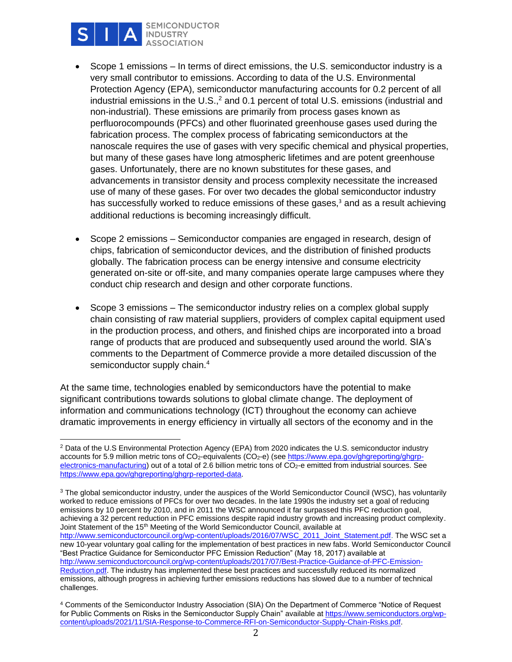

**SEMICONDUCTOR INDUSTRY ASSOCIATION** 

- Scope 1 emissions In terms of direct emissions, the U.S. semiconductor industry is a very small contributor to emissions. According to data of the U.S. Environmental Protection Agency (EPA), semiconductor manufacturing accounts for 0.2 percent of all industrial emissions in the U.S.,<sup>2</sup> and 0.1 percent of total U.S. emissions (industrial and non-industrial). These emissions are primarily from process gases known as perfluorocompounds (PFCs) and other fluorinated greenhouse gases used during the fabrication process. The complex process of fabricating semiconductors at the nanoscale requires the use of gases with very specific chemical and physical properties, but many of these gases have long atmospheric lifetimes and are potent greenhouse gases. Unfortunately, there are no known substitutes for these gases, and advancements in transistor density and process complexity necessitate the increased use of many of these gases. For over two decades the global semiconductor industry has successfully worked to reduce emissions of these gases, $3$  and as a result achieving additional reductions is becoming increasingly difficult.
- Scope 2 emissions Semiconductor companies are engaged in research, design of chips, fabrication of semiconductor devices, and the distribution of finished products globally. The fabrication process can be energy intensive and consume electricity generated on-site or off-site, and many companies operate large campuses where they conduct chip research and design and other corporate functions.
- Scope 3 emissions The semiconductor industry relies on a complex global supply chain consisting of raw material suppliers, providers of complex capital equipment used in the production process, and others, and finished chips are incorporated into a broad range of products that are produced and subsequently used around the world. SIA's comments to the Department of Commerce provide a more detailed discussion of the semiconductor supply chain.<sup>4</sup>

At the same time, technologies enabled by semiconductors have the potential to make significant contributions towards solutions to global climate change. The deployment of information and communications technology (ICT) throughout the economy can achieve dramatic improvements in energy efficiency in virtually all sectors of the economy and in the

<sup>2</sup> Data of the U.S Environmental Protection Agency (EPA) from 2020 indicates the U.S. semiconductor industry accounts for 5.9 million metric tons of CO<sub>2</sub>-equivalents (CO<sub>2</sub>-e) (see [https://www.epa.gov/ghgreporting/ghgrp](https://www.epa.gov/ghgreporting/ghgrp-electronics-manufacturing)[electronics-manufacturing\)](https://www.epa.gov/ghgreporting/ghgrp-electronics-manufacturing) out of a total of 2.6 billion metric tons of CO<sub>2</sub>-e emitted from industrial sources. See [https://www.epa.gov/ghgreporting/ghgrp-reported-data.](https://www.epa.gov/ghgreporting/ghgrp-reported-data)

<sup>&</sup>lt;sup>3</sup> The global semiconductor industry, under the auspices of the World Semiconductor Council (WSC), has voluntarily worked to reduce emissions of PFCs for over two decades. In the late 1990s the industry set a goal of reducing emissions by 10 percent by 2010, and in 2011 the WSC announced it far surpassed this PFC reduction goal, achieving a 32 percent reduction in PFC emissions despite rapid industry growth and increasing product complexity. Joint Statement of the 15th Meeting of the World Semiconductor Council, available at [http://www.semiconductorcouncil.org/wp-content/uploads/2016/07/WSC\\_2011\\_Joint\\_Statement.pdf.](http://www.semiconductorcouncil.org/wp-content/uploads/2016/07/WSC_2011_Joint_Statement.pdf) The WSC set a new 10-year voluntary goal calling for the implementation of best practices in new fabs. World Semiconductor Council "Best Practice Guidance for Semiconductor PFC Emission Reduction" (May 18, 2017) available at [http://www.semiconductorcouncil.org/wp-content/uploads/2017/07/Best-Practice-Guidance-of-PFC-Emission-](http://www.semiconductorcouncil.org/wp-content/uploads/2017/07/Best-Practice-Guidance-of-PFC-Emission-Reduction.pdf)[Reduction.pdf.](http://www.semiconductorcouncil.org/wp-content/uploads/2017/07/Best-Practice-Guidance-of-PFC-Emission-Reduction.pdf) The industry has implemented these best practices and successfully reduced its normalized emissions, although progress in achieving further emissions reductions has slowed due to a number of technical challenges.

<sup>4</sup> Comments of the Semiconductor Industry Association (SIA) On the Department of Commerce "Notice of Request for Public Comments on Risks in the Semiconductor Supply Chain" available at [https://www.semiconductors.org/wp](https://www.semiconductors.org/wp-content/uploads/2021/11/SIA-Response-to-Commerce-RFI-on-Semiconductor-Supply-Chain-Risks.pdf)[content/uploads/2021/11/SIA-Response-to-Commerce-RFI-on-Semiconductor-Supply-Chain-Risks.pdf.](https://www.semiconductors.org/wp-content/uploads/2021/11/SIA-Response-to-Commerce-RFI-on-Semiconductor-Supply-Chain-Risks.pdf)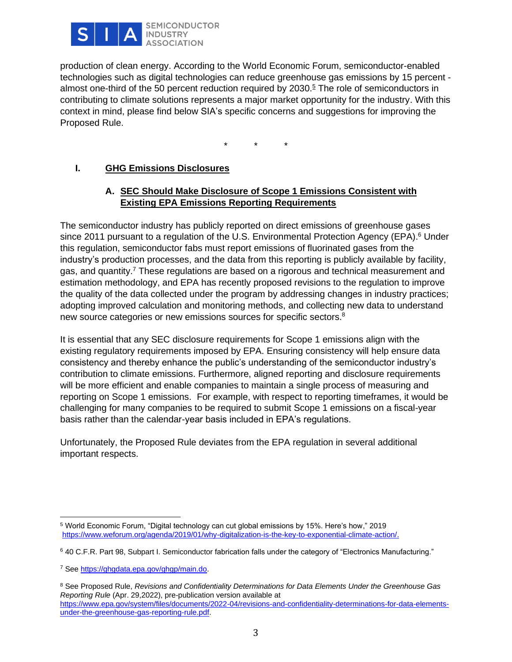

production of clean energy. According to the World Economic Forum, semiconductor-enabled technologies such as digital technologies can reduce greenhouse gas emissions by 15 percent almost one-third of the 50 percent reduction required by 2030.<sup>5</sup> The role of semiconductors in contributing to climate solutions represents a major market opportunity for the industry. With this context in mind, please find below SIA's specific concerns and suggestions for improving the Proposed Rule.

\* \* \*

## **I. GHG Emissions Disclosures**

### **A. SEC Should Make Disclosure of Scope 1 Emissions Consistent with Existing EPA Emissions Reporting Requirements**

The semiconductor industry has publicly reported on direct emissions of greenhouse gases since 2011 pursuant to a regulation of the U.S. Environmental Protection Agency (EPA).<sup>6</sup> Under this regulation, semiconductor fabs must report emissions of fluorinated gases from the industry's production processes, and the data from this reporting is publicly available by facility, gas, and quantity.<sup>7</sup> These regulations are based on a rigorous and technical measurement and estimation methodology, and EPA has recently proposed revisions to the regulation to improve the quality of the data collected under the program by addressing changes in industry practices; adopting improved calculation and monitoring methods, and collecting new data to understand new source categories or new emissions sources for specific sectors.<sup>8</sup>

It is essential that any SEC disclosure requirements for Scope 1 emissions align with the existing regulatory requirements imposed by EPA. Ensuring consistency will help ensure data consistency and thereby enhance the public's understanding of the semiconductor industry's contribution to climate emissions. Furthermore, aligned reporting and disclosure requirements will be more efficient and enable companies to maintain a single process of measuring and reporting on Scope 1 emissions. For example, with respect to reporting timeframes, it would be challenging for many companies to be required to submit Scope 1 emissions on a fiscal-year basis rather than the calendar-year basis included in EPA's regulations.

Unfortunately, the Proposed Rule deviates from the EPA regulation in several additional important respects.

<sup>8</sup> See Proposed Rule, *Revisions and Confidentiality Determinations for Data Elements Under the Greenhouse Gas Reporting Rule* (Apr. 29,2022), pre-publication version available at [https://www.epa.gov/system/files/documents/2022-04/revisions-and-confidentiality-determinations-for-data-elements](https://www.epa.gov/system/files/documents/2022-04/revisions-and-confidentiality-determinations-for-data-elements-under-the-greenhouse-gas-reporting-rule.pdf)[under-the-greenhouse-gas-reporting-rule.pdf.](https://www.epa.gov/system/files/documents/2022-04/revisions-and-confidentiality-determinations-for-data-elements-under-the-greenhouse-gas-reporting-rule.pdf)

<sup>5</sup> World Economic Forum, "Digital technology can cut global emissions by 15%. Here's how," 2019 [https://www.weforum.org/agenda/2019/01/why-digitalization-is-the-key-to-exponential-climate-action/.](https://www.weforum.org/agenda/2019/01/why-digitalization-is-the-key-to-exponential-climate-action/)

<sup>6</sup> 40 C.F.R. Part 98, Subpart I. Semiconductor fabrication falls under the category of "Electronics Manufacturing."

<sup>7</sup> See [https://ghgdata.epa.gov/ghgp/main.do.](https://ghgdata.epa.gov/ghgp/main.do)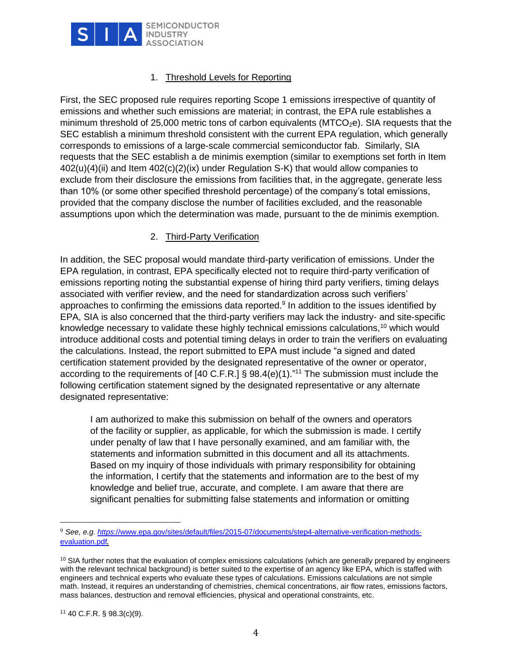

## 1. Threshold Levels for Reporting

First, the SEC proposed rule requires reporting Scope 1 emissions irrespective of quantity of emissions and whether such emissions are material; in contrast, the EPA rule establishes a minimum threshold of 25,000 metric tons of carbon equivalents ( $MTCO<sub>2</sub>e$ ). SIA requests that the SEC establish a minimum threshold consistent with the current EPA regulation, which generally corresponds to emissions of a large-scale commercial semiconductor fab. Similarly, SIA requests that the SEC establish a de minimis exemption (similar to exemptions set forth in Item  $402(u)(4)(ii)$  and Item  $402(c)(2)(ix)$  under Regulation S-K) that would allow companies to exclude from their disclosure the emissions from facilities that, in the aggregate, generate less than 10% (or some other specified threshold percentage) of the company's total emissions, provided that the company disclose the number of facilities excluded, and the reasonable assumptions upon which the determination was made, pursuant to the de minimis exemption.

#### 2. Third-Party Verification

In addition, the SEC proposal would mandate third-party verification of emissions. Under the EPA regulation, in contrast, EPA specifically elected not to require third-party verification of emissions reporting noting the substantial expense of hiring third party verifiers, timing delays associated with verifier review, and the need for standardization across such verifiers' approaches to confirming the emissions data reported.<sup>9</sup> In addition to the issues identified by EPA, SIA is also concerned that the third-party verifiers may lack the industry- and site-specific knowledge necessary to validate these highly technical emissions calculations,<sup>10</sup> which would introduce additional costs and potential timing delays in order to train the verifiers on evaluating the calculations. Instead, the report submitted to EPA must include "a signed and dated certification statement provided by the designated representative of the owner or operator, according to the requirements of [40 C.F.R.] § 98.4(e)(1)."<sup>11</sup> The submission must include the following certification statement signed by the designated representative or any alternate designated representative:

I am authorized to make this submission on behalf of the owners and operators of the facility or supplier, as applicable, for which the submission is made. I certify under penalty of law that I have personally examined, and am familiar with, the statements and information submitted in this document and all its attachments. Based on my inquiry of those individuals with primary responsibility for obtaining the information, I certify that the statements and information are to the best of my knowledge and belief true, accurate, and complete. I am aware that there are significant penalties for submitting false statements and information or omitting

<sup>9</sup> *See, e.g. https*[://www.epa.gov/sites/default/files/2015-07/documents/step4-alternative-verification-methods](https://www.epa.gov/sites/default/files/2015-07/documents/step4-alternative-verification-methods-evaluation.pdf)[evaluation.pdf](https://www.epa.gov/sites/default/files/2015-07/documents/step4-alternative-verification-methods-evaluation.pdf).

 $10$  SIA further notes that the evaluation of complex emissions calculations (which are generally prepared by engineers with the relevant technical background) is better suited to the expertise of an agency like EPA, which is staffed with engineers and technical experts who evaluate these types of calculations. Emissions calculations are not simple math. Instead, it requires an understanding of chemistries, chemical concentrations, air flow rates, emissions factors, mass balances, destruction and removal efficiencies, physical and operational constraints, etc.

<sup>11</sup> 40 C.F.R. § 98.3(c)(9).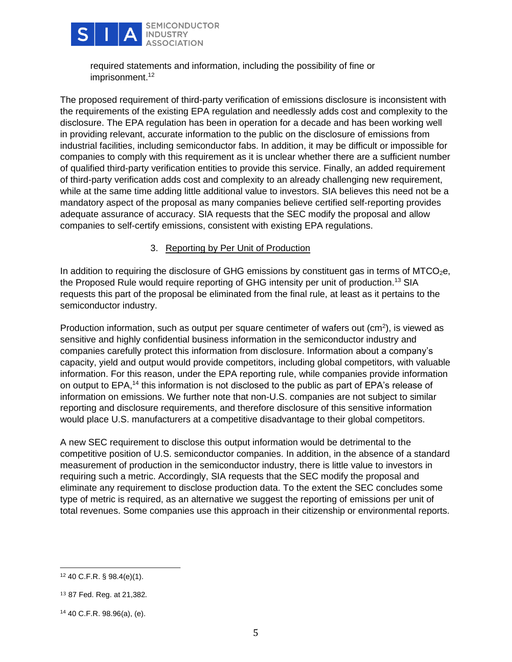

required statements and information, including the possibility of fine or imprisonment.<sup>12</sup>

The proposed requirement of third-party verification of emissions disclosure is inconsistent with the requirements of the existing EPA regulation and needlessly adds cost and complexity to the disclosure. The EPA regulation has been in operation for a decade and has been working well in providing relevant, accurate information to the public on the disclosure of emissions from industrial facilities, including semiconductor fabs. In addition, it may be difficult or impossible for companies to comply with this requirement as it is unclear whether there are a sufficient number of qualified third-party verification entities to provide this service. Finally, an added requirement of third-party verification adds cost and complexity to an already challenging new requirement, while at the same time adding little additional value to investors. SIA believes this need not be a mandatory aspect of the proposal as many companies believe certified self-reporting provides adequate assurance of accuracy. SIA requests that the SEC modify the proposal and allow companies to self-certify emissions, consistent with existing EPA regulations.

#### 3. Reporting by Per Unit of Production

In addition to requiring the disclosure of GHG emissions by constituent gas in terms of  $MTCO<sub>2</sub>e$ , the Proposed Rule would require reporting of GHG intensity per unit of production.<sup>13</sup> SIA requests this part of the proposal be eliminated from the final rule, at least as it pertains to the semiconductor industry.

Production information, such as output per square centimeter of wafers out  $(cm<sup>2</sup>)$ , is viewed as sensitive and highly confidential business information in the semiconductor industry and companies carefully protect this information from disclosure. Information about a company's capacity, yield and output would provide competitors, including global competitors, with valuable information. For this reason, under the EPA reporting rule, while companies provide information on output to EPA,<sup>14</sup> this information is not disclosed to the public as part of EPA's release of information on emissions. We further note that non-U.S. companies are not subject to similar reporting and disclosure requirements, and therefore disclosure of this sensitive information would place U.S. manufacturers at a competitive disadvantage to their global competitors.

A new SEC requirement to disclose this output information would be detrimental to the competitive position of U.S. semiconductor companies. In addition, in the absence of a standard measurement of production in the semiconductor industry, there is little value to investors in requiring such a metric. Accordingly, SIA requests that the SEC modify the proposal and eliminate any requirement to disclose production data. To the extent the SEC concludes some type of metric is required, as an alternative we suggest the reporting of emissions per unit of total revenues. Some companies use this approach in their citizenship or environmental reports.

<sup>12</sup> 40 C.F.R. § 98.4(e)(1).

<sup>13</sup> 87 Fed. Reg. at 21,382.

<sup>14</sup> 40 C.F.R. 98.96(a), (e).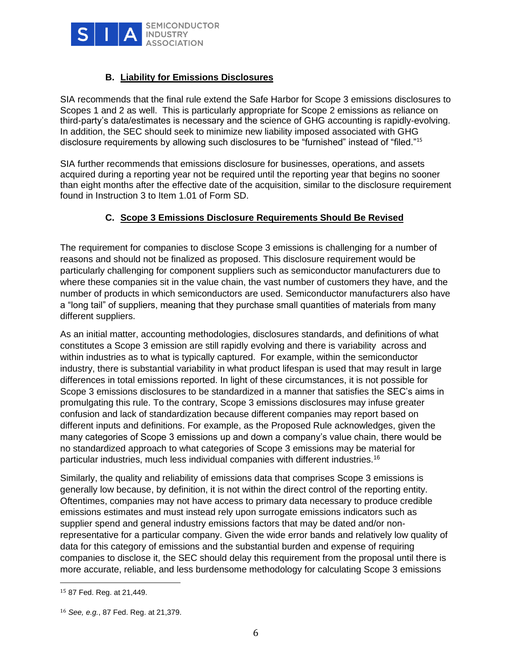

## **B. Liability for Emissions Disclosures**

SIA recommends that the final rule extend the Safe Harbor for Scope 3 emissions disclosures to Scopes 1 and 2 as well. This is particularly appropriate for Scope 2 emissions as reliance on third-party's data/estimates is necessary and the science of GHG accounting is rapidly-evolving. In addition, the SEC should seek to minimize new liability imposed associated with GHG disclosure requirements by allowing such disclosures to be "furnished" instead of "filed."<sup>15</sup>

SIA further recommends that emissions disclosure for businesses, operations, and assets acquired during a reporting year not be required until the reporting year that begins no sooner than eight months after the effective date of the acquisition, similar to the disclosure requirement found in Instruction 3 to Item 1.01 of Form SD.

### **C. Scope 3 Emissions Disclosure Requirements Should Be Revised**

The requirement for companies to disclose Scope 3 emissions is challenging for a number of reasons and should not be finalized as proposed. This disclosure requirement would be particularly challenging for component suppliers such as semiconductor manufacturers due to where these companies sit in the value chain, the vast number of customers they have, and the number of products in which semiconductors are used. Semiconductor manufacturers also have a "long tail" of suppliers, meaning that they purchase small quantities of materials from many different suppliers.

As an initial matter, accounting methodologies, disclosures standards, and definitions of what constitutes a Scope 3 emission are still rapidly evolving and there is variability across and within industries as to what is typically captured. For example, within the semiconductor industry, there is substantial variability in what product lifespan is used that may result in large differences in total emissions reported. In light of these circumstances, it is not possible for Scope 3 emissions disclosures to be standardized in a manner that satisfies the SEC's aims in promulgating this rule. To the contrary, Scope 3 emissions disclosures may infuse greater confusion and lack of standardization because different companies may report based on different inputs and definitions. For example, as the Proposed Rule acknowledges, given the many categories of Scope 3 emissions up and down a company's value chain, there would be no standardized approach to what categories of Scope 3 emissions may be material for particular industries, much less individual companies with different industries.<sup>16</sup>

Similarly, the quality and reliability of emissions data that comprises Scope 3 emissions is generally low because, by definition, it is not within the direct control of the reporting entity. Oftentimes, companies may not have access to primary data necessary to produce credible emissions estimates and must instead rely upon surrogate emissions indicators such as supplier spend and general industry emissions factors that may be dated and/or nonrepresentative for a particular company. Given the wide error bands and relatively low quality of data for this category of emissions and the substantial burden and expense of requiring companies to disclose it, the SEC should delay this requirement from the proposal until there is more accurate, reliable, and less burdensome methodology for calculating Scope 3 emissions

<sup>15</sup> 87 Fed. Reg. at 21,449.

<sup>16</sup> *See, e.g.*, 87 Fed. Reg. at 21,379.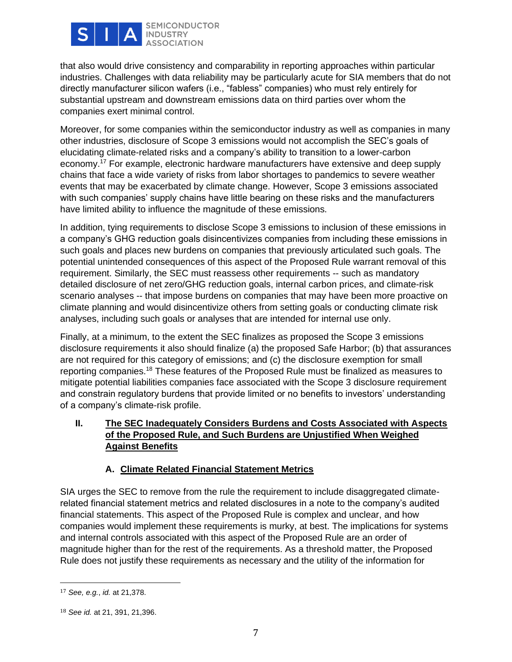

**SEMICONDUCTOR INDUSTRY ASSOCIATION** 

that also would drive consistency and comparability in reporting approaches within particular industries. Challenges with data reliability may be particularly acute for SIA members that do not directly manufacturer silicon wafers (i.e., "fabless" companies) who must rely entirely for substantial upstream and downstream emissions data on third parties over whom the companies exert minimal control.

Moreover, for some companies within the semiconductor industry as well as companies in many other industries, disclosure of Scope 3 emissions would not accomplish the SEC's goals of elucidating climate-related risks and a company's ability to transition to a lower-carbon economy.<sup>17</sup> For example, electronic hardware manufacturers have extensive and deep supply chains that face a wide variety of risks from labor shortages to pandemics to severe weather events that may be exacerbated by climate change. However, Scope 3 emissions associated with such companies' supply chains have little bearing on these risks and the manufacturers have limited ability to influence the magnitude of these emissions.

In addition, tying requirements to disclose Scope 3 emissions to inclusion of these emissions in a company's GHG reduction goals disincentivizes companies from including these emissions in such goals and places new burdens on companies that previously articulated such goals. The potential unintended consequences of this aspect of the Proposed Rule warrant removal of this requirement. Similarly, the SEC must reassess other requirements -- such as mandatory detailed disclosure of net zero/GHG reduction goals, internal carbon prices, and climate-risk scenario analyses -- that impose burdens on companies that may have been more proactive on climate planning and would disincentivize others from setting goals or conducting climate risk analyses, including such goals or analyses that are intended for internal use only.

Finally, at a minimum, to the extent the SEC finalizes as proposed the Scope 3 emissions disclosure requirements it also should finalize (a) the proposed Safe Harbor; (b) that assurances are not required for this category of emissions; and (c) the disclosure exemption for small reporting companies.<sup>18</sup> These features of the Proposed Rule must be finalized as measures to mitigate potential liabilities companies face associated with the Scope 3 disclosure requirement and constrain regulatory burdens that provide limited or no benefits to investors' understanding of a company's climate-risk profile.

### **II. The SEC Inadequately Considers Burdens and Costs Associated with Aspects of the Proposed Rule, and Such Burdens are Unjustified When Weighed Against Benefits**

## **A. Climate Related Financial Statement Metrics**

SIA urges the SEC to remove from the rule the requirement to include disaggregated climaterelated financial statement metrics and related disclosures in a note to the company's audited financial statements. This aspect of the Proposed Rule is complex and unclear, and how companies would implement these requirements is murky, at best. The implications for systems and internal controls associated with this aspect of the Proposed Rule are an order of magnitude higher than for the rest of the requirements. As a threshold matter, the Proposed Rule does not justify these requirements as necessary and the utility of the information for

<sup>17</sup> *See, e.g.*, *id.* at 21,378.

<sup>18</sup> *See id.* at 21, 391, 21,396.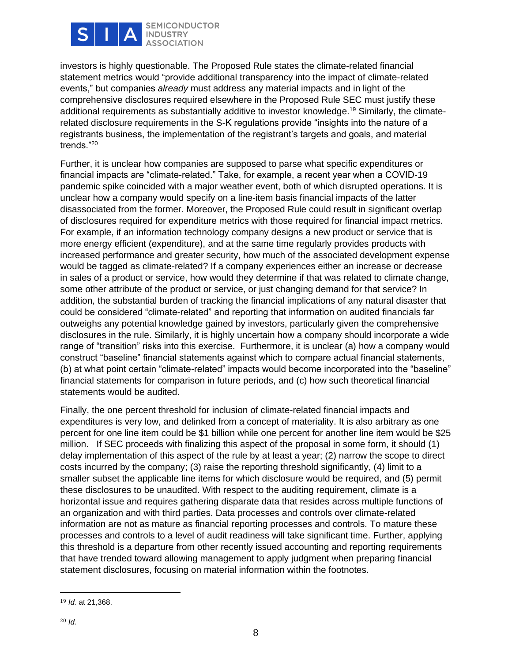

**SEMICONDUCTOR INDUSTRY ASSOCIATION** 

investors is highly questionable. The Proposed Rule states the climate-related financial statement metrics would "provide additional transparency into the impact of climate-related events," but companies *already* must address any material impacts and in light of the comprehensive disclosures required elsewhere in the Proposed Rule SEC must justify these additional requirements as substantially additive to investor knowledge.<sup>19</sup> Similarly, the climaterelated disclosure requirements in the S-K regulations provide "insights into the nature of a registrants business, the implementation of the registrant's targets and goals, and material trends."<sup>20</sup>

Further, it is unclear how companies are supposed to parse what specific expenditures or financial impacts are "climate-related." Take, for example, a recent year when a COVID-19 pandemic spike coincided with a major weather event, both of which disrupted operations. It is unclear how a company would specify on a line-item basis financial impacts of the latter disassociated from the former. Moreover, the Proposed Rule could result in significant overlap of disclosures required for expenditure metrics with those required for financial impact metrics. For example, if an information technology company designs a new product or service that is more energy efficient (expenditure), and at the same time regularly provides products with increased performance and greater security, how much of the associated development expense would be tagged as climate-related? If a company experiences either an increase or decrease in sales of a product or service, how would they determine if that was related to climate change, some other attribute of the product or service, or just changing demand for that service? In addition, the substantial burden of tracking the financial implications of any natural disaster that could be considered "climate-related" and reporting that information on audited financials far outweighs any potential knowledge gained by investors, particularly given the comprehensive disclosures in the rule. Similarly, it is highly uncertain how a company should incorporate a wide range of "transition" risks into this exercise. Furthermore, it is unclear (a) how a company would construct "baseline" financial statements against which to compare actual financial statements, (b) at what point certain "climate-related" impacts would become incorporated into the "baseline" financial statements for comparison in future periods, and (c) how such theoretical financial statements would be audited.

Finally, the one percent threshold for inclusion of climate-related financial impacts and expenditures is very low, and delinked from a concept of materiality. It is also arbitrary as one percent for one line item could be \$1 billion while one percent for another line item would be \$25 million. If SEC proceeds with finalizing this aspect of the proposal in some form, it should (1) delay implementation of this aspect of the rule by at least a year; (2) narrow the scope to direct costs incurred by the company; (3) raise the reporting threshold significantly, (4) limit to a smaller subset the applicable line items for which disclosure would be required, and (5) permit these disclosures to be unaudited. With respect to the auditing requirement, climate is a horizontal issue and requires gathering disparate data that resides across multiple functions of an organization and with third parties. Data processes and controls over climate-related information are not as mature as financial reporting processes and controls. To mature these processes and controls to a level of audit readiness will take significant time. Further, applying this threshold is a departure from other recently issued accounting and reporting requirements that have trended toward allowing management to apply judgment when preparing financial statement disclosures, focusing on material information within the footnotes.

<sup>19</sup> *Id.* at 21,368.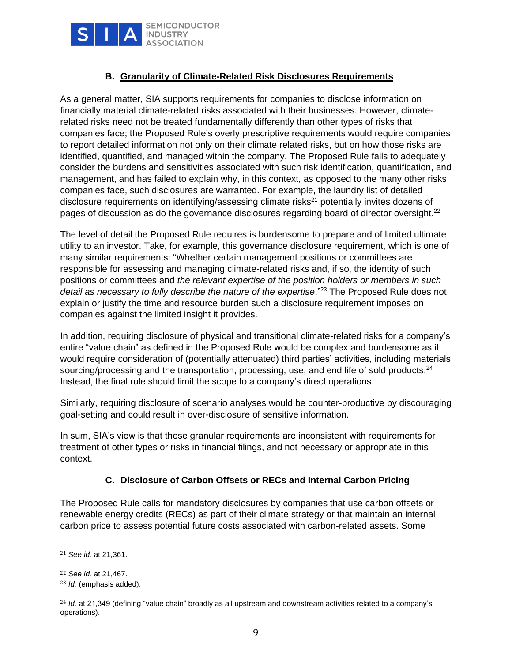

### **B. Granularity of Climate-Related Risk Disclosures Requirements**

As a general matter, SIA supports requirements for companies to disclose information on financially material climate-related risks associated with their businesses. However, climaterelated risks need not be treated fundamentally differently than other types of risks that companies face; the Proposed Rule's overly prescriptive requirements would require companies to report detailed information not only on their climate related risks, but on how those risks are identified, quantified, and managed within the company. The Proposed Rule fails to adequately consider the burdens and sensitivities associated with such risk identification, quantification, and management, and has failed to explain why, in this context, as opposed to the many other risks companies face, such disclosures are warranted. For example, the laundry list of detailed disclosure requirements on identifying/assessing climate risks<sup>21</sup> potentially invites dozens of pages of discussion as do the governance disclosures regarding board of director oversight. $^{22}$ 

The level of detail the Proposed Rule requires is burdensome to prepare and of limited ultimate utility to an investor. Take, for example, this governance disclosure requirement, which is one of many similar requirements: "Whether certain management positions or committees are responsible for assessing and managing climate-related risks and, if so, the identity of such positions or committees and *the relevant expertise of the position holders or members in such*  detail as necessary to fully describe the nature of the expertise."<sup>23</sup> The Proposed Rule does not explain or justify the time and resource burden such a disclosure requirement imposes on companies against the limited insight it provides.

In addition, requiring disclosure of physical and transitional climate-related risks for a company's entire "value chain" as defined in the Proposed Rule would be complex and burdensome as it would require consideration of (potentially attenuated) third parties' activities, including materials sourcing/processing and the transportation, processing, use, and end life of sold products.<sup>24</sup> Instead, the final rule should limit the scope to a company's direct operations.

Similarly, requiring disclosure of scenario analyses would be counter-productive by discouraging goal-setting and could result in over-disclosure of sensitive information.

In sum, SIA's view is that these granular requirements are inconsistent with requirements for treatment of other types or risks in financial filings, and not necessary or appropriate in this context.

## **C. Disclosure of Carbon Offsets or RECs and Internal Carbon Pricing**

The Proposed Rule calls for mandatory disclosures by companies that use carbon offsets or renewable energy credits (RECs) as part of their climate strategy or that maintain an internal carbon price to assess potential future costs associated with carbon-related assets. Some

<sup>21</sup> *See id.* at 21,361.

<sup>22</sup> *See id.* at 21,467.

<sup>23</sup> *Id.* (emphasis added).

<sup>&</sup>lt;sup>24</sup> *Id.* at 21,349 (defining "value chain" broadly as all upstream and downstream activities related to a company's operations).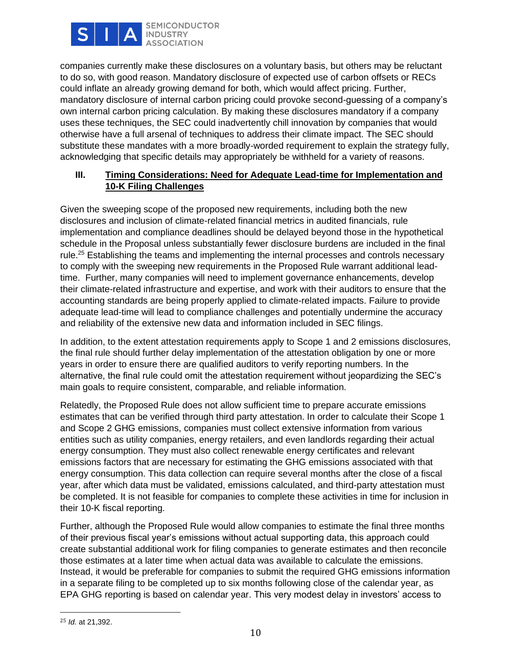

companies currently make these disclosures on a voluntary basis, but others may be reluctant to do so, with good reason. Mandatory disclosure of expected use of carbon offsets or RECs could inflate an already growing demand for both, which would affect pricing. Further, mandatory disclosure of internal carbon pricing could provoke second-guessing of a company's own internal carbon pricing calculation. By making these disclosures mandatory if a company uses these techniques, the SEC could inadvertently chill innovation by companies that would otherwise have a full arsenal of techniques to address their climate impact. The SEC should substitute these mandates with a more broadly-worded requirement to explain the strategy fully, acknowledging that specific details may appropriately be withheld for a variety of reasons.

# **III. Timing Considerations: Need for Adequate Lead-time for Implementation and 10-K Filing Challenges**

Given the sweeping scope of the proposed new requirements, including both the new disclosures and inclusion of climate-related financial metrics in audited financials, rule implementation and compliance deadlines should be delayed beyond those in the hypothetical schedule in the Proposal unless substantially fewer disclosure burdens are included in the final rule.<sup>25</sup> Establishing the teams and implementing the internal processes and controls necessary to comply with the sweeping new requirements in the Proposed Rule warrant additional leadtime. Further, many companies will need to implement governance enhancements, develop their climate-related infrastructure and expertise, and work with their auditors to ensure that the accounting standards are being properly applied to climate-related impacts. Failure to provide adequate lead-time will lead to compliance challenges and potentially undermine the accuracy and reliability of the extensive new data and information included in SEC filings.

In addition, to the extent attestation requirements apply to Scope 1 and 2 emissions disclosures, the final rule should further delay implementation of the attestation obligation by one or more years in order to ensure there are qualified auditors to verify reporting numbers. In the alternative, the final rule could omit the attestation requirement without jeopardizing the SEC's main goals to require consistent, comparable, and reliable information.

Relatedly, the Proposed Rule does not allow sufficient time to prepare accurate emissions estimates that can be verified through third party attestation. In order to calculate their Scope 1 and Scope 2 GHG emissions, companies must collect extensive information from various entities such as utility companies, energy retailers, and even landlords regarding their actual energy consumption. They must also collect renewable energy certificates and relevant emissions factors that are necessary for estimating the GHG emissions associated with that energy consumption. This data collection can require several months after the close of a fiscal year, after which data must be validated, emissions calculated, and third-party attestation must be completed. It is not feasible for companies to complete these activities in time for inclusion in their 10-K fiscal reporting.

Further, although the Proposed Rule would allow companies to estimate the final three months of their previous fiscal year's emissions without actual supporting data, this approach could create substantial additional work for filing companies to generate estimates and then reconcile those estimates at a later time when actual data was available to calculate the emissions. Instead, it would be preferable for companies to submit the required GHG emissions information in a separate filing to be completed up to six months following close of the calendar year, as EPA GHG reporting is based on calendar year. This very modest delay in investors' access to

<sup>25</sup> *Id.* at 21,392.